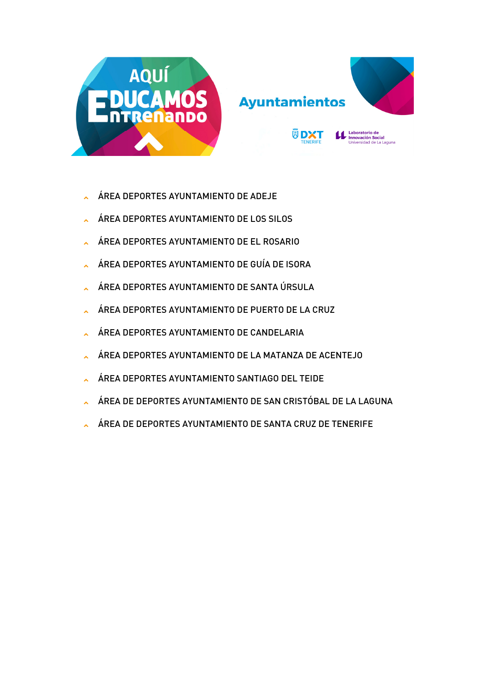

## **Ayuntamientos**

**园DXT** 



Laboratorio de **Laboratorio de<br>Innovación Social**<br>Universidad de La Laquna

## ÁREA DEPORTES AYUNTAMIENTO DE ADEJE

- ÁREA DEPORTES AYUNTAMIENTO DE LOS SILOS
- ÁREA DEPORTES AYUNTAMIENTO DE EL ROSARIO
- ÁREA DEPORTES AYUNTAMIENTO DE GUÍA DE ISORA
- ÁREA DEPORTES AYUNTAMIENTO DE SANTA ÚRSULA
- ÁREA DEPORTES AYUNTAMIENTO DE PUERTO DE LA CRUZ
- ÁREA DEPORTES AYUNTAMIENTO DE CANDELARIA
- ÁREA DEPORTES AYUNTAMIENTO DE LA MATANZA DE ACENTEJO
- ÁREA DEPORTES AYUNTAMIENTO SANTIAGO DEL TEIDE
- ÁREA DE DEPORTES AYUNTAMIENTO DE SAN CRISTÓBAL DE LA LAGUNA
- ÁREA DE DEPORTES AYUNTAMIENTO DE SANTA CRUZ DE TENERIFE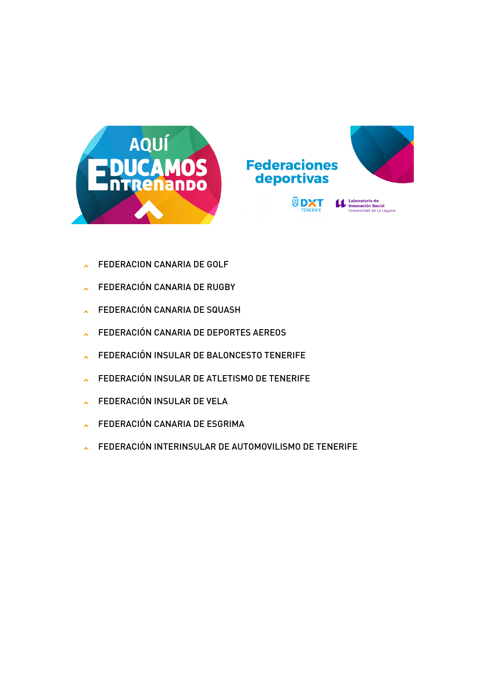



**Laboratorio de<br>Innovación Social**<br>Universidad de La Laguna

**Federaciones** deportivas

> 圆 **DXT**

- FEDERACION CANARIA DE GOLF
- FEDERACIÓN CANARIA DE RUGBY  $\mathbf{x}$
- FEDERACIÓN CANARIA DE SQUASH  $\lambda$
- FEDERACIÓN CANARIA DE DEPORTES AEREOS  $\lambda$
- FEDERACIÓN INSULAR DE BALONCESTO TENERIFE  $\lambda$
- FEDERACIÓN INSULAR DE ATLETISMO DE TENERIFE  $\mathbf{x}$
- FEDERACIÓN INSULAR DE VELA  $\mathbf{x}$
- FEDERACIÓN CANARIA DE ESGRIMA  $\mathbf{x}$
- FEDERACIÓN INTERINSULAR DE AUTOMOVILISMO DE TENERIFE  $\mathbf{x}$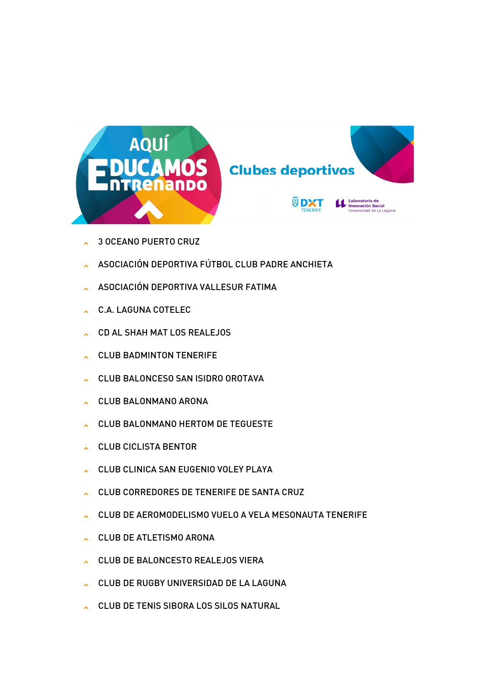

**Clubes deportivos** 



- 3 OCEANO PUERTO CRUZ
- ASOCIACIÓN DEPORTIVA FÚTBOL CLUB PADRE ANCHIETA
- ASOCIACIÓN DEPORTIVA VALLESUR FATIMA
- C.A. LAGUNA COTELEC
- CD AL SHAH MAT LOS REALEJOS
- CLUB BADMINTON TENERIFE
- CLUB BALONCESO SAN ISIDRO OROTAVA
- CLUB BALONMANO ARONA
- CLUB BALONMANO HERTOM DE TEGUESTE
- CLUB CICLISTA BENTOR
- CLUB CLINICA SAN EUGENIO VOLEY PLAYA
- CLUB CORREDORES DE TENERIFE DE SANTA CRUZ
- CLUB DE AEROMODELISMO VUELO A VELA MESONAUTA TENERIFE
- CLUB DE ATLETISMO ARONA
- CLUB DE BALONCESTO REALEJOS VIERA
- CLUB DE RUGBY UNIVERSIDAD DE LA LAGUNA
- CLUB DE TENIS SIBORA LOS SILOS NATURAL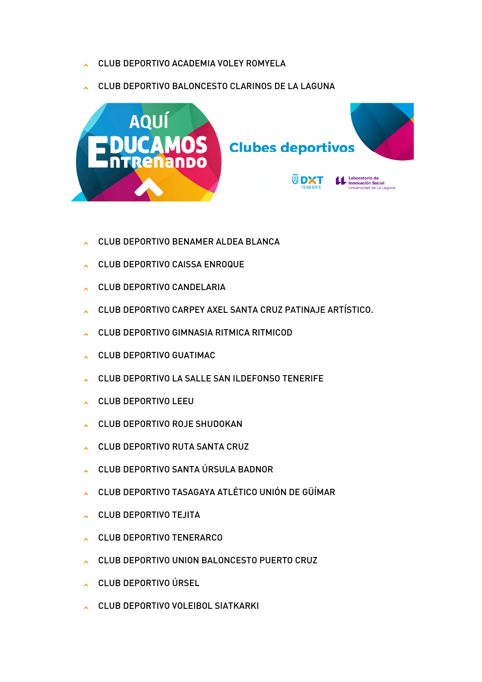- CLUB DEPORTIVO ACADEMIA VOLEY ROMYELA
- CLUB DEPORTIVO BALONCESTO CLARINOS DE LA LAGUNA



- CLUB DEPORTIVO BENAMER ALDEA BLANCA
- CLUB DEPORTIVO CAISSA ENROQUE
- CLUB DEPORTIVO CANDELARIA
- CLUB DEPORTIVO CARPEY AXEL SANTA CRUZ PATINAJE ARTÍSTICO.
- CLUB DEPORTIVO GIMNASIA RITMICA RITMICOD
- CLUB DEPORTIVO GUATIMAC
- CLUB DEPORTIVO LA SALLE SAN ILDEFONSO TENERIFE
- CLUB DEPORTIVO LEEU
- CLUB DEPORTIVO ROJE SHUDOKAN
- CLUB DEPORTIVO RUTA SANTA CRUZ
- CLUB DEPORTIVO SANTA ÚRSULA BADNOR
- CLUB DEPORTIVO TASAGAYA ATLÉTICO UNIÓN DE GÜÍMAR
- CLUB DEPORTIVO TEJITA
- CLUB DEPORTIVO TENERARCO
- CLUB DEPORTIVO UNION BALONCESTO PUERTO CRUZ
- CLUB DEPORTIVO ÚRSEL
- CLUB DEPORTIVO VOLEIBOL SIATKARKI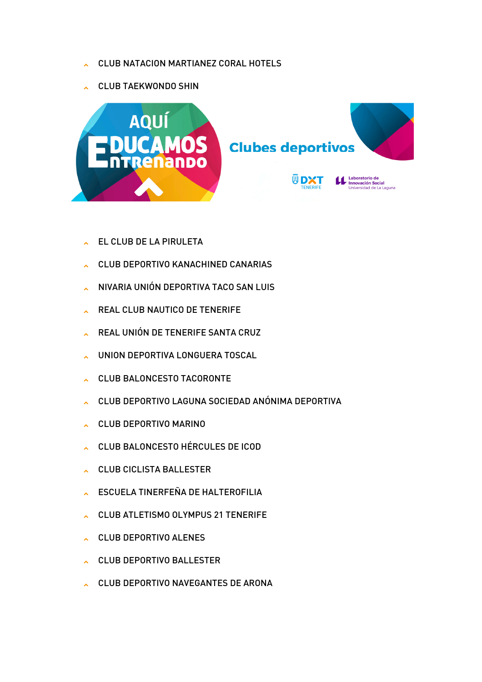- CLUB NATACION MARTIANEZ CORAL HOTELS
- CLUB TAEKWONDO SHIN



- EL CLUB DE LA PIRULETA
- CLUB DEPORTIVO KANACHINED CANARIAS
- NIVARIA UNIÓN DEPORTIVA TACO SAN LUIS
- REAL CLUB NAUTICO DE TENERIFE
- REAL UNIÓN DE TENERIFE SANTA CRUZ
- UNION DEPORTIVA LONGUERA TOSCAL
- CLUB BALONCESTO TACORONTE
- CLUB DEPORTIVO LAGUNA SOCIEDAD ANÓNIMA DEPORTIVA
- CLUB DEPORTIVO MARINO
- CLUB BALONCESTO HÉRCULES DE ICOD
- CLUB CICLISTA BALLESTER
- ESCUELA TINERFEÑA DE HALTEROFILIA
- CLUB ATLETISMO OLYMPUS 21 TENERIFE
- CLUB DEPORTIVO ALENES
- CLUB DEPORTIVO BALLESTER
- CLUB DEPORTIVO NAVEGANTES DE ARONA